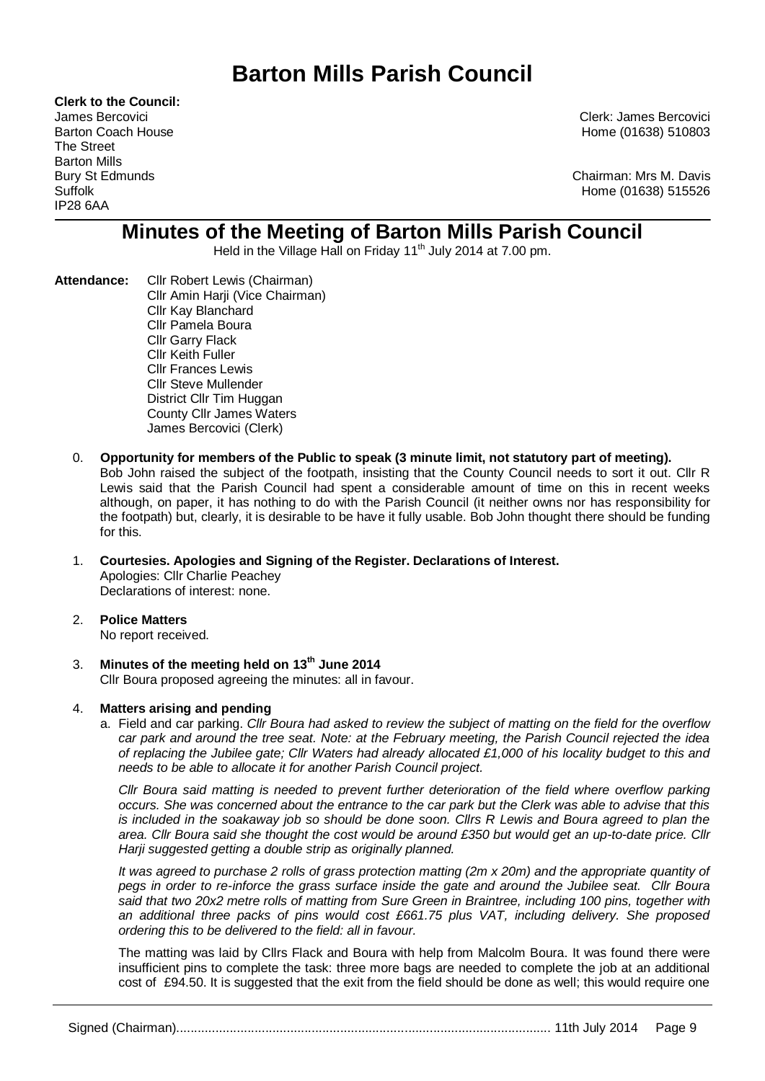# **Barton Mills Parish Council**

**Clerk to the Council:** The Street Barton Mills IP28 6AA

James Bercovici Clerk: James Bercovici Barton Coach House **Home (01638)** 510803

Bury St Edmunds Chairman: Mrs M. Davis Suffolk Home (01638) 515526

# **Minutes of the Meeting of Barton Mills Parish Council**

Held in the Village Hall on Friday 11<sup>th</sup> July 2014 at 7.00 pm.

- **Attendance:** Cllr Robert Lewis (Chairman) Cllr Amin Harji (Vice Chairman) Cllr Kay Blanchard Cllr Pamela Boura Cllr Garry Flack Cllr Keith Fuller Cllr Frances Lewis Cllr Steve Mullender District Cllr Tim Huggan County Cllr James Waters James Bercovici (Clerk)
	- 0. **Opportunity for members of the Public to speak (3 minute limit, not statutory part of meeting).**  Bob John raised the subject of the footpath, insisting that the County Council needs to sort it out. Cllr R Lewis said that the Parish Council had spent a considerable amount of time on this in recent weeks although, on paper, it has nothing to do with the Parish Council (it neither owns nor has responsibility for the footpath) but, clearly, it is desirable to be have it fully usable. Bob John thought there should be funding for this.

# 1. **Courtesies. Apologies and Signing of the Register. Declarations of Interest.** Apologies: Cllr Charlie Peachey Declarations of interest: none.

# 2. **Police Matters**

No report received.

3. **Minutes of the meeting held on 13th June 2014** Cllr Boura proposed agreeing the minutes: all in favour.

# 4. **Matters arising and pending**

a. Field and car parking. *Cllr Boura had asked to review the subject of matting on the field for the overflow car park and around the tree seat. Note: at the February meeting, the Parish Council rejected the idea of replacing the Jubilee gate; Cllr Waters had already allocated £1,000 of his locality budget to this and needs to be able to allocate it for another Parish Council project.*

*Cllr Boura said matting is needed to prevent further deterioration of the field where overflow parking occurs. She was concerned about the entrance to the car park but the Clerk was able to advise that this is included in the soakaway job so should be done soon. Cllrs R Lewis and Boura agreed to plan the area. Cllr Boura said she thought the cost would be around £350 but would get an up-to-date price. Cllr Harji suggested getting a double strip as originally planned.*

*It was agreed to purchase 2 rolls of grass protection matting (2m x 20m) and the appropriate quantity of pegs in order to re-inforce the grass surface inside the gate and around the Jubilee seat. Cllr Boura said that two 20x2 metre rolls of matting from Sure Green in Braintree, including 100 pins, together with an additional three packs of pins would cost £661.75 plus VAT, including delivery. She proposed ordering this to be delivered to the field: all in favour.*

The matting was laid by Cllrs Flack and Boura with help from Malcolm Boura. It was found there were insufficient pins to complete the task: three more bags are needed to complete the job at an additional cost of £94.50. It is suggested that the exit from the field should be done as well; this would require one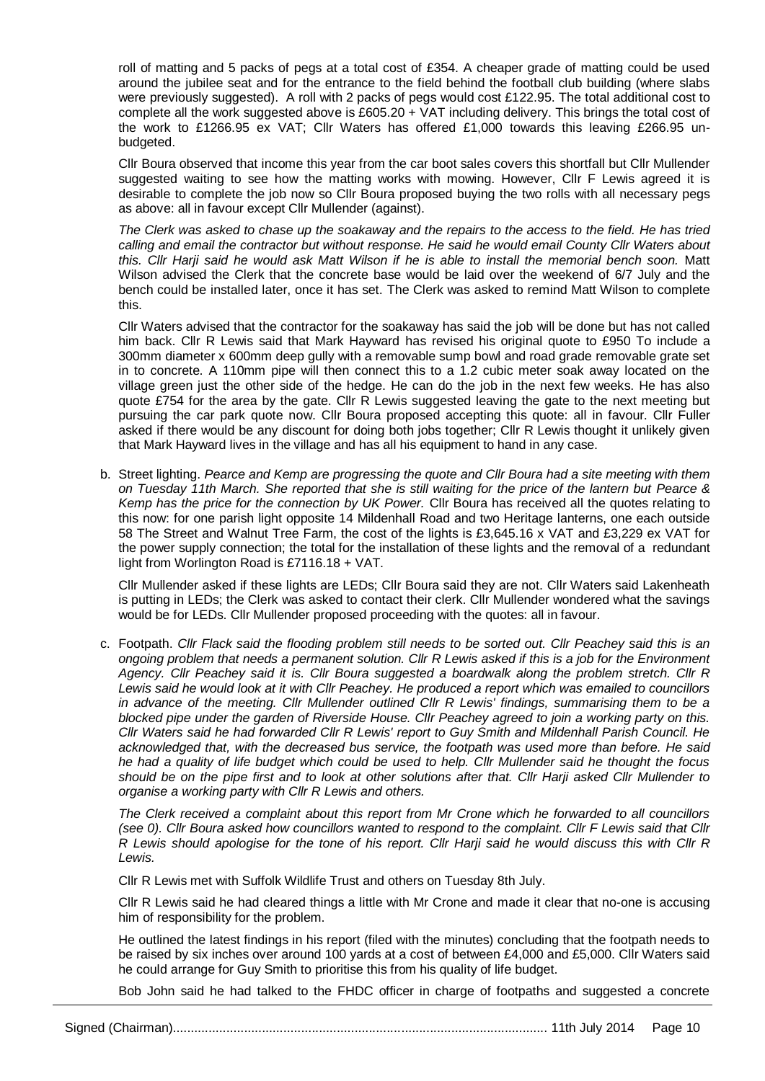roll of matting and 5 packs of pegs at a total cost of £354. A cheaper grade of matting could be used around the jubilee seat and for the entrance to the field behind the football club building (where slabs were previously suggested). A roll with 2 packs of pegs would cost £122.95. The total additional cost to complete all the work suggested above is £605.20 + VAT including delivery. This brings the total cost of the work to £1266.95 ex VAT; Cllr Waters has offered £1,000 towards this leaving £266.95 unbudgeted.

Cllr Boura observed that income this year from the car boot sales covers this shortfall but Cllr Mullender suggested waiting to see how the matting works with mowing. However, Cllr F Lewis agreed it is desirable to complete the job now so Cllr Boura proposed buying the two rolls with all necessary pegs as above: all in favour except Cllr Mullender (against).

*The Clerk was asked to chase up the soakaway and the repairs to the access to the field. He has tried calling and email the contractor but without response. He said he would email County Cllr Waters about this. Cllr Harji said he would ask Matt Wilson if he is able to install the memorial bench soon.* Matt Wilson advised the Clerk that the concrete base would be laid over the weekend of 6/7 July and the bench could be installed later, once it has set. The Clerk was asked to remind Matt Wilson to complete this.

Cllr Waters advised that the contractor for the soakaway has said the job will be done but has not called him back. Cllr R Lewis said that Mark Hayward has revised his original quote to £950 To include a 300mm diameter x 600mm deep gully with a removable sump bowl and road grade removable grate set in to concrete. A 110mm pipe will then connect this to a 1.2 cubic meter soak away located on the village green just the other side of the hedge. He can do the job in the next few weeks. He has also quote £754 for the area by the gate. Cllr R Lewis suggested leaving the gate to the next meeting but pursuing the car park quote now. Cllr Boura proposed accepting this quote: all in favour. Cllr Fuller asked if there would be any discount for doing both jobs together; Cllr R Lewis thought it unlikely given that Mark Hayward lives in the village and has all his equipment to hand in any case.

b. Street lighting. *Pearce and Kemp are progressing the quote and Cllr Boura had a site meeting with them on Tuesday 11th March. She reported that she is still waiting for the price of the lantern but Pearce & Kemp has the price for the connection by UK Power.* Cllr Boura has received all the quotes relating to this now: for one parish light opposite 14 Mildenhall Road and two Heritage lanterns, one each outside 58 The Street and Walnut Tree Farm, the cost of the lights is £3,645.16 x VAT and £3,229 ex VAT for the power supply connection; the total for the installation of these lights and the removal of a redundant light from Worlington Road is £7116.18 + VAT.

Cllr Mullender asked if these lights are LEDs; Cllr Boura said they are not. Cllr Waters said Lakenheath is putting in LEDs; the Clerk was asked to contact their clerk. Cllr Mullender wondered what the savings would be for LEDs. Cllr Mullender proposed proceeding with the quotes: all in favour.

c. Footpath. *Cllr Flack said the flooding problem still needs to be sorted out. Cllr Peachey said this is an ongoing problem that needs a permanent solution. Cllr R Lewis asked if this is a job for the Environment Agency. Cllr Peachey said it is. Cllr Boura suggested a boardwalk along the problem stretch. Cllr R Lewis said he would look at it with Cllr Peachey. He produced a report which was emailed to councillors in advance of the meeting. Cllr Mullender outlined Cllr R Lewis' findings, summarising them to be a blocked pipe under the garden of Riverside House. Cllr Peachey agreed to join a working party on this. Cllr Waters said he had forwarded Cllr R Lewis' report to Guy Smith and Mildenhall Parish Council. He acknowledged that, with the decreased bus service, the footpath was used more than before. He said he had a quality of life budget which could be used to help. Cllr Mullender said he thought the focus should be on the pipe first and to look at other solutions after that. Cllr Harji asked Cllr Mullender to organise a working party with Cllr R Lewis and others.*

*The Clerk received a complaint about this report from Mr Crone which he forwarded to all councillors (see 0). Cllr Boura asked how councillors wanted to respond to the complaint. Cllr F Lewis said that Cllr R Lewis should apologise for the tone of his report. Cllr Harji said he would discuss this with Cllr R Lewis.*

Cllr R Lewis met with Suffolk Wildlife Trust and others on Tuesday 8th July.

Cllr R Lewis said he had cleared things a little with Mr Crone and made it clear that no-one is accusing him of responsibility for the problem.

He outlined the latest findings in his report (filed with the minutes) concluding that the footpath needs to be raised by six inches over around 100 yards at a cost of between £4,000 and £5,000. Cllr Waters said he could arrange for Guy Smith to prioritise this from his quality of life budget.

Bob John said he had talked to the FHDC officer in charge of footpaths and suggested a concrete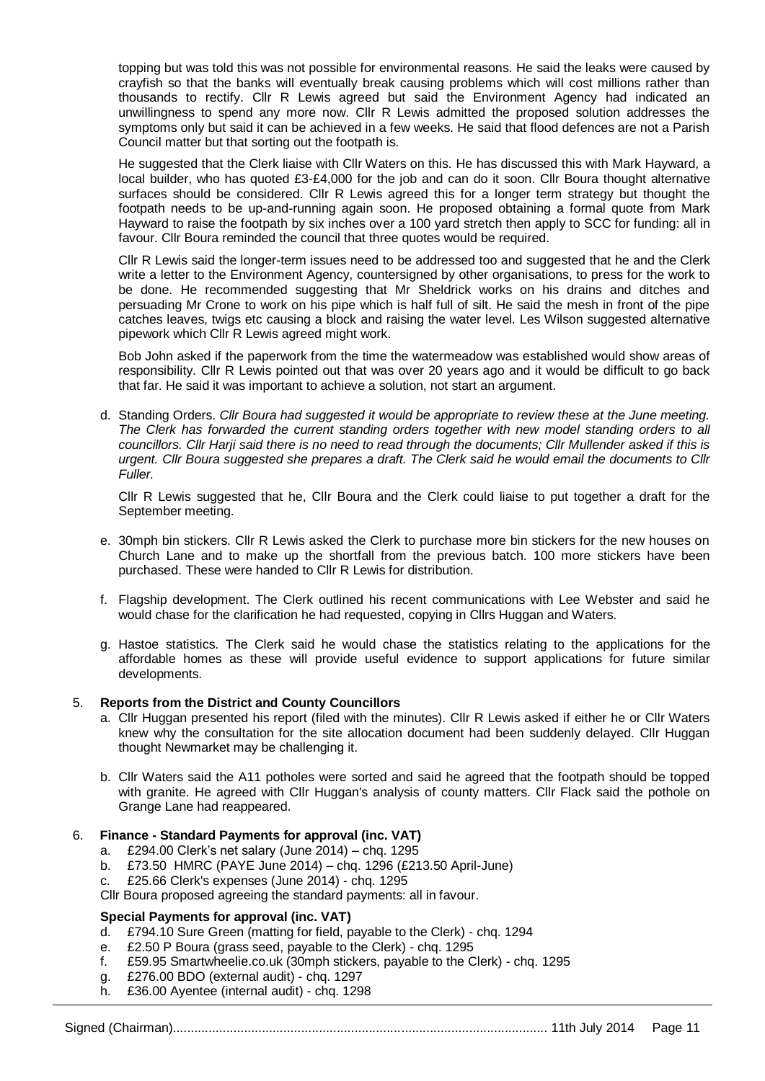topping but was told this was not possible for environmental reasons. He said the leaks were caused by crayfish so that the banks will eventually break causing problems which will cost millions rather than thousands to rectify. Cllr R Lewis agreed but said the Environment Agency had indicated an unwillingness to spend any more now. Cllr R Lewis admitted the proposed solution addresses the symptoms only but said it can be achieved in a few weeks. He said that flood defences are not a Parish Council matter but that sorting out the footpath is.

He suggested that the Clerk liaise with Cllr Waters on this. He has discussed this with Mark Hayward, a local builder, who has quoted £3-£4,000 for the job and can do it soon. Cllr Boura thought alternative surfaces should be considered. Cllr R Lewis agreed this for a longer term strategy but thought the footpath needs to be up-and-running again soon. He proposed obtaining a formal quote from Mark Hayward to raise the footpath by six inches over a 100 yard stretch then apply to SCC for funding: all in favour. Cllr Boura reminded the council that three quotes would be required.

Cllr R Lewis said the longer-term issues need to be addressed too and suggested that he and the Clerk write a letter to the Environment Agency, countersigned by other organisations, to press for the work to be done. He recommended suggesting that Mr Sheldrick works on his drains and ditches and persuading Mr Crone to work on his pipe which is half full of silt. He said the mesh in front of the pipe catches leaves, twigs etc causing a block and raising the water level. Les Wilson suggested alternative pipework which Cllr R Lewis agreed might work.

Bob John asked if the paperwork from the time the watermeadow was established would show areas of responsibility. Cllr R Lewis pointed out that was over 20 years ago and it would be difficult to go back that far. He said it was important to achieve a solution, not start an argument.

d. Standing Orders. *Cllr Boura had suggested it would be appropriate to review these at the June meeting.*  The Clerk has forwarded the current standing orders together with new model standing orders to all *councillors. Cllr Harji said there is no need to read through the documents; Cllr Mullender asked if this is urgent. Cllr Boura suggested she prepares a draft. The Clerk said he would email the documents to Cllr Fuller.*

Cllr R Lewis suggested that he, Cllr Boura and the Clerk could liaise to put together a draft for the September meeting.

- e. 30mph bin stickers. Cllr R Lewis asked the Clerk to purchase more bin stickers for the new houses on Church Lane and to make up the shortfall from the previous batch. 100 more stickers have been purchased. These were handed to Cllr R Lewis for distribution.
- f. Flagship development. The Clerk outlined his recent communications with Lee Webster and said he would chase for the clarification he had requested, copying in Cllrs Huggan and Waters.
- g. Hastoe statistics. The Clerk said he would chase the statistics relating to the applications for the affordable homes as these will provide useful evidence to support applications for future similar developments.

#### 5. **Reports from the District and County Councillors**

- a. Cllr Huggan presented his report (filed with the minutes). Cllr R Lewis asked if either he or Cllr Waters knew why the consultation for the site allocation document had been suddenly delayed. Cllr Huggan thought Newmarket may be challenging it.
- b. Cllr Waters said the A11 potholes were sorted and said he agreed that the footpath should be topped with granite. He agreed with Cllr Huggan's analysis of county matters. Cllr Flack said the pothole on Grange Lane had reappeared.

#### 6. **Finance - Standard Payments for approval (inc. VAT)**

- a. £294.00 Clerk's net salary (June 2014) chq. 1295
- b. £73.50 HMRC (PAYE June 2014) chq. 1296 (£213.50 April-June)
- c. £25.66 Clerk's expenses (June 2014) chq. 1295
- Cllr Boura proposed agreeing the standard payments: all in favour.

# **Special Payments for approval (inc. VAT)**

- d. £794.10 Sure Green (matting for field, payable to the Clerk) chq. 1294
- e. £2.50 P Boura (grass seed, payable to the Clerk) chq. 1295
- f. £59.95 Smartwheelie.co.uk (30mph stickers, payable to the Clerk) chq. 1295
- g. £276.00 BDO (external audit) chq. 1297
- h. £36.00 Ayentee (internal audit) chq. 1298